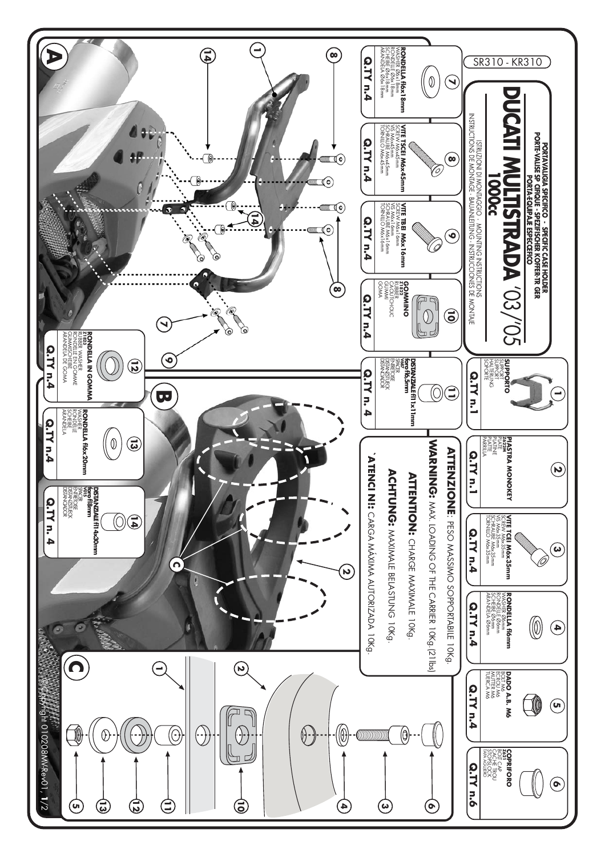